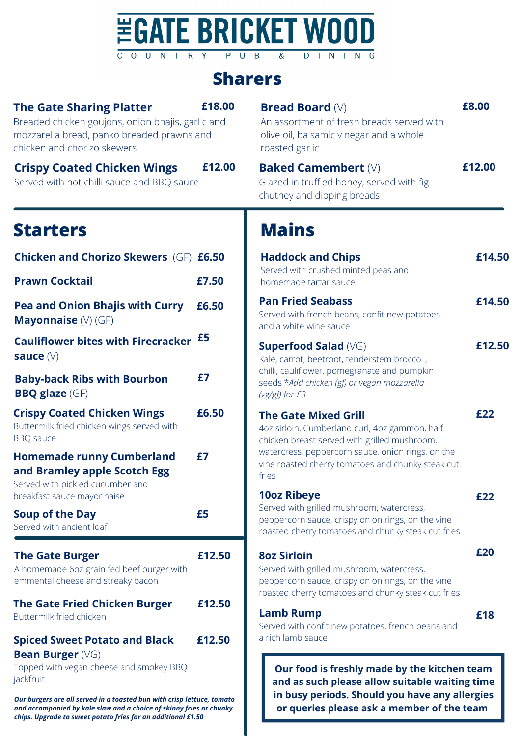### **EGATE BRICKET WOOD** COUNTRY PUB **DINING**  $\overline{8}$

# **Sharers**

| <b>The Gate Sharing Platter</b><br>Breaded chicken goujons, onion bhajis, garlic and<br>mozzarella bread, panko breaded prawns and<br>chicken and chorizo skewers                                                                                                                                | £18.00 | <b>Bread Board <math>(V)</math></b><br>An assortment of fresh breads served with<br>olive oil, balsamic vinegar and a whole<br>roasted garlic                                                  | £8.00  |
|--------------------------------------------------------------------------------------------------------------------------------------------------------------------------------------------------------------------------------------------------------------------------------------------------|--------|------------------------------------------------------------------------------------------------------------------------------------------------------------------------------------------------|--------|
| <b>Crispy Coated Chicken Wings</b><br>Served with hot chilli sauce and BBQ sauce                                                                                                                                                                                                                 | £12.00 | <b>Baked Camembert (V)</b><br>Glazed in truffled honey, served with fig<br>chutney and dipping breads                                                                                          | £12.00 |
| <b>Starters</b>                                                                                                                                                                                                                                                                                  |        | <b>Mains</b>                                                                                                                                                                                   |        |
| <b>Chicken and Chorizo Skewers (GF) £6.50</b>                                                                                                                                                                                                                                                    |        | <b>Haddock and Chips</b>                                                                                                                                                                       | £14.50 |
| <b>Prawn Cocktail</b>                                                                                                                                                                                                                                                                            | £7.50  | Served with crushed minted peas and<br>homemade tartar sauce                                                                                                                                   |        |
| <b>Pea and Onion Bhajis with Curry</b><br>Mayonnaise (V) (GF)                                                                                                                                                                                                                                    | £6.50  | <b>Pan Fried Seabass</b><br>Served with french beans, confit new potatoes<br>and a white wine sauce                                                                                            | £14.50 |
| <b>Cauliflower bites with Firecracker</b><br>sauce $(V)$                                                                                                                                                                                                                                         | £5     | <b>Superfood Salad (VG)</b><br>Kale, carrot, beetroot, tenderstem broccoli,                                                                                                                    | £12.50 |
| <b>Baby-back Ribs with Bourbon</b><br><b>BBQ</b> glaze (GF)                                                                                                                                                                                                                                      | £7     | chilli, cauliflower, pomegranate and pumpkin<br>seeds *Add chicken (gf) or vegan mozzarella<br>(vg/gf) for £3                                                                                  |        |
| <b>Crispy Coated Chicken Wings</b><br>Buttermilk fried chicken wings served with<br><b>BBQ</b> sauce                                                                                                                                                                                             | £6.50  | <b>The Gate Mixed Grill</b><br>4oz sirloin, Cumberland curl, 4oz gammon, half<br>chicken breast served with grilled mushroom,                                                                  | £22    |
| <b>Homemade runny Cumberland</b><br>and Bramley apple Scotch Egg<br>Served with pickled cucumber and                                                                                                                                                                                             | £7     | watercress, peppercorn sauce, onion rings, on the<br>vine roasted cherry tomatoes and chunky steak cut<br>fries                                                                                |        |
| breakfast sauce mayonnaise<br><b>Soup of the Day</b><br>Served with ancient loaf                                                                                                                                                                                                                 | £5     | <b>10oz Ribeye</b><br>Served with grilled mushroom, watercress,<br>peppercorn sauce, crispy onion rings, on the vine<br>roasted cherry tomatoes and chunky steak cut fries                     | £22    |
| <b>The Gate Burger</b><br>A homemade 6oz grain fed beef burger with<br>emmental cheese and streaky bacon                                                                                                                                                                                         | £12.50 | <b>8oz Sirloin</b><br>Served with grilled mushroom, watercress,<br>peppercorn sauce, crispy onion rings, on the vine<br>roasted cherry tomatoes and chunky steak cut fries                     | £20    |
| <b>The Gate Fried Chicken Burger</b><br>Buttermilk fried chicken                                                                                                                                                                                                                                 | £12.50 | <b>Lamb Rump</b><br>Served with confit new potatoes, french beans and                                                                                                                          | £18    |
| <b>Spiced Sweet Potato and Black</b>                                                                                                                                                                                                                                                             | £12.50 | a rich lamb sauce                                                                                                                                                                              |        |
| <b>Bean Burger (VG)</b><br>Topped with vegan cheese and smokey BBQ<br>jackfruit<br>Our burgers are all served in a toasted bun with crisp lettuce, tomato<br>and accompanied by kale slaw and a choice of skinny fries or chunky<br>chips. Upgrade to sweet potato fries for an additional £1.50 |        | Our food is freshly made by the kitchen team<br>and as such please allow suitable waiting time<br>in busy periods. Should you have any allergies<br>or queries please ask a member of the team |        |